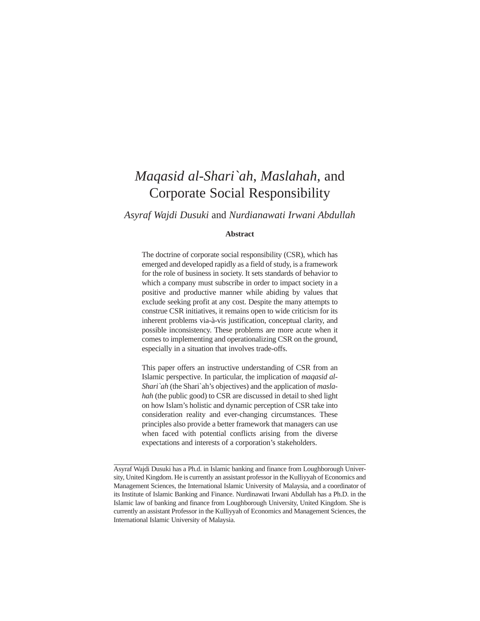# *Maqasid al-Shari`ah*, *Maslahah*, and Corporate Social Responsibility

*Asyraf Wajdi Dusuki* and *Nurdianawati Irwani Abdullah*

#### **Abstract**

The doctrine of corporate social responsibility (CSR), which has emerged and developed rapidly as a field of study, is a framework for the role of business in society. It sets standards of behavior to which a company must subscribe in order to impact society in a positive and productive manner while abiding by values that exclude seeking profit at any cost. Despite the many attempts to construe CSR initiatives, it remains open to wide criticism for its inherent problems via-à-vis justification, conceptual clarity, and possible inconsistency. These problems are more acute when it comes to implementing and operationalizing CSR on the ground, especially in a situation that involves trade-offs.

This paper offers an instructive understanding of CSR from an Islamic perspective. In particular, the implication of *maqasid al-Shari`ah* (the Shari`ah's objectives) and the application of *maslahah* (the public good) to CSR are discussed in detail to shed light on how Islam's holistic and dynamic perception of CSR take into consideration reality and ever-changing circumstances. These principles also provide a better framework that managers can use when faced with potential conflicts arising from the diverse expectations and interests of a corporation's stakeholders.

Asyraf Wajdi Dusuki has a Ph.d. in Islamic banking and finance from Loughborough University, United Kingdom. He is currently an assistant professor in the Kulliyyah of Economics and Management Sciences, the International Islamic University of Malaysia, and a coordinator of its Institute of Islamic Banking and Finance. Nurdinawati Irwani Abdullah has a Ph.D. in the Islamic law of banking and finance from Loughborough University, United Kingdom. She is currently an assistant Professor in the Kulliyyah of Economics and Management Sciences, the International Islamic University of Malaysia.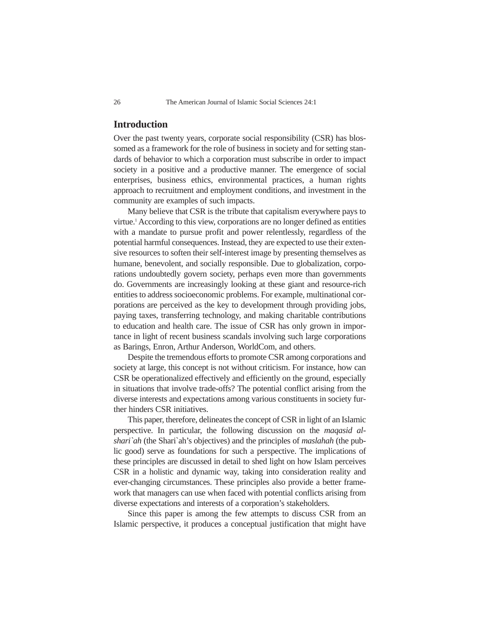## **Introduction**

Over the past twenty years, corporate social responsibility (CSR) has blossomed as a framework for the role of business in society and for setting standards of behavior to which a corporation must subscribe in order to impact society in a positive and a productive manner. The emergence of social enterprises, business ethics, environmental practices, a human rights approach to recruitment and employment conditions, and investment in the community are examples of such impacts.

Many believe that CSR is the tribute that capitalism everywhere pays to virtue.1 According to this view, corporations are no longer defined as entities with a mandate to pursue profit and power relentlessly, regardless of the potential harmful consequences. Instead, they are expected to use their extensive resources to soften their self-interest image by presenting themselves as humane, benevolent, and socially responsible. Due to globalization, corporations undoubtedly govern society, perhaps even more than governments do. Governments are increasingly looking at these giant and resource-rich entities to address socioeconomic problems. For example, multinational corporations are perceived as the key to development through providing jobs, paying taxes, transferring technology, and making charitable contributions to education and health care. The issue of CSR has only grown in importance in light of recent business scandals involving such large corporations as Barings, Enron, Arthur Anderson, WorldCom, and others.

Despite the tremendous efforts to promote CSR among corporations and society at large, this concept is not without criticism. For instance, how can CSR be operationalized effectively and efficiently on the ground, especially in situations that involve trade-offs? The potential conflict arising from the diverse interests and expectations among various constituents in society further hinders CSR initiatives.

This paper, therefore, delineates the concept of CSR in light of an Islamic perspective. In particular, the following discussion on the *maqasid alshari`ah* (the Shari`ah's objectives) and the principles of *maslahah* (the public good) serve as foundations for such a perspective. The implications of these principles are discussed in detail to shed light on how Islam perceives CSR in a holistic and dynamic way, taking into consideration reality and ever-changing circumstances. These principles also provide a better framework that managers can use when faced with potential conflicts arising from diverse expectations and interests of a corporation's stakeholders.

Since this paper is among the few attempts to discuss CSR from an Islamic perspective, it produces a conceptual justification that might have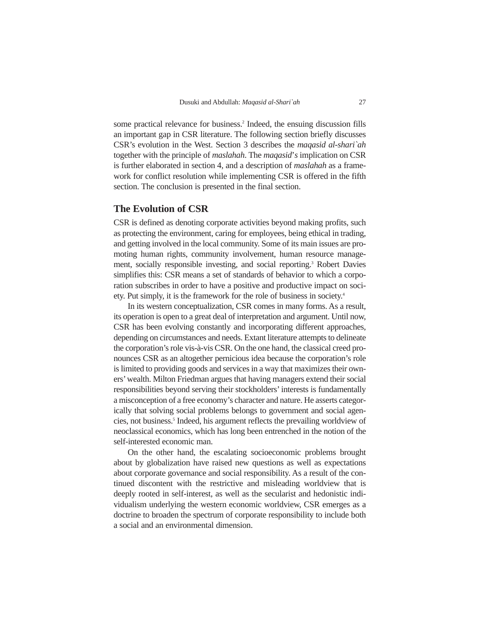some practical relevance for business.<sup>2</sup> Indeed, the ensuing discussion fills an important gap in CSR literature. The following section briefly discusses CSR's evolution in the West. Section 3 describes the *maqasid al-shari`ah* together with the principle of *maslahah*. The *maqasid*'*s* implication on CSR is further elaborated in section 4, and a description of *maslahah* as a framework for conflict resolution while implementing CSR is offered in the fifth section. The conclusion is presented in the final section.

### **The Evolution of CSR**

CSR is defined as denoting corporate activities beyond making profits, such as protecting the environment, caring for employees, being ethical in trading, and getting involved in the local community. Some of its main issues are promoting human rights, community involvement, human resource management, socially responsible investing, and social reporting.3 Robert Davies simplifies this: CSR means a set of standards of behavior to which a corporation subscribes in order to have a positive and productive impact on society. Put simply, it is the framework for the role of business in society.4

In its western conceptualization, CSR comes in many forms. As a result, its operation is open to a great deal of interpretation and argument. Until now, CSR has been evolving constantly and incorporating different approaches, depending on circumstances and needs. Extant literature attempts to delineate the corporation's role vis-à-vis CSR. On the one hand, the classical creed pronounces CSR as an altogether pernicious idea because the corporation's role is limited to providing goods and services in a way that maximizes their owners' wealth. Milton Friedman argues that having managers extend their social responsibilities beyond serving their stockholders' interests is fundamentally a misconception of a free economy's character and nature. He asserts categorically that solving social problems belongs to government and social agencies, not business.<sup>5</sup> Indeed, his argument reflects the prevailing worldview of neoclassical economics, which has long been entrenched in the notion of the self-interested economic man.

On the other hand, the escalating socioeconomic problems brought about by globalization have raised new questions as well as expectations about corporate governance and social responsibility. As a result of the continued discontent with the restrictive and misleading worldview that is deeply rooted in self-interest, as well as the secularist and hedonistic individualism underlying the western economic worldview, CSR emerges as a doctrine to broaden the spectrum of corporate responsibility to include both a social and an environmental dimension.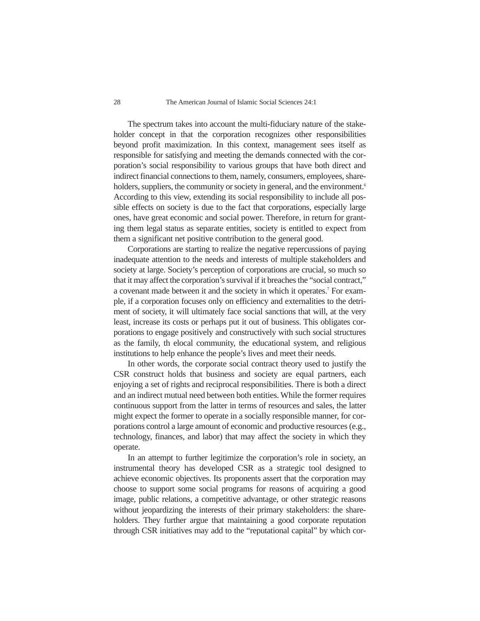#### 28 The American Journal of Islamic Social Sciences 24:1

The spectrum takes into account the multi-fiduciary nature of the stakeholder concept in that the corporation recognizes other responsibilities beyond profit maximization. In this context, management sees itself as responsible for satisfying and meeting the demands connected with the corporation's social responsibility to various groups that have both direct and indirect financial connections to them, namely, consumers, employees, shareholders, suppliers, the community or society in general, and the environment.<sup>6</sup> According to this view, extending its social responsibility to include all possible effects on society is due to the fact that corporations, especially large ones, have great economic and social power. Therefore, in return for granting them legal status as separate entities, society is entitled to expect from them a significant net positive contribution to the general good.

Corporations are starting to realize the negative repercussions of paying inadequate attention to the needs and interests of multiple stakeholders and society at large. Society's perception of corporations are crucial, so much so that it may affect the corporation's survival if it breaches the "social contract," a covenant made between it and the society in which it operates.7 For example, if a corporation focuses only on efficiency and externalities to the detriment of society, it will ultimately face social sanctions that will, at the very least, increase its costs or perhaps put it out of business. This obligates corporations to engage positively and constructively with such social structures as the family, th elocal community, the educational system, and religious institutions to help enhance the people's lives and meet their needs.

In other words, the corporate social contract theory used to justify the CSR construct holds that business and society are equal partners, each enjoying a set of rights and reciprocal responsibilities. There is both a direct and an indirect mutual need between both entities. While the former requires continuous support from the latter in terms of resources and sales, the latter might expect the former to operate in a socially responsible manner, for corporations control a large amount of economic and productive resources (e.g., technology, finances, and labor) that may affect the society in which they operate.

In an attempt to further legitimize the corporation's role in society, an instrumental theory has developed CSR as a strategic tool designed to achieve economic objectives. Its proponents assert that the corporation may choose to support some social programs for reasons of acquiring a good image, public relations, a competitive advantage, or other strategic reasons without jeopardizing the interests of their primary stakeholders: the shareholders. They further argue that maintaining a good corporate reputation through CSR initiatives may add to the "reputational capital" by which cor-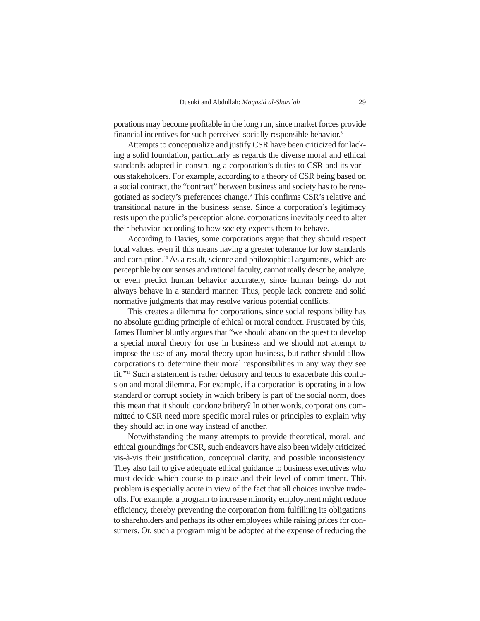porations may become profitable in the long run, since market forces provide financial incentives for such perceived socially responsible behavior.8

Attempts to conceptualize and justify CSR have been criticized for lacking a solid foundation, particularly as regards the diverse moral and ethical standards adopted in construing a corporation's duties to CSR and its various stakeholders. For example, according to a theory of CSR being based on a social contract, the "contract" between business and society has to be renegotiated as society's preferences change.<sup>9</sup> This confirms CSR's relative and transitional nature in the business sense. Since a corporation's legitimacy rests upon the public's perception alone, corporations inevitably need to alter their behavior according to how society expects them to behave.

According to Davies, some corporations argue that they should respect local values, even if this means having a greater tolerance for low standards and corruption.10 As a result, science and philosophical arguments, which are perceptible by our senses and rational faculty, cannot really describe, analyze, or even predict human behavior accurately, since human beings do not always behave in a standard manner. Thus, people lack concrete and solid normative judgments that may resolve various potential conflicts.

This creates a dilemma for corporations, since social responsibility has no absolute guiding principle of ethical or moral conduct. Frustrated by this, James Humber bluntly argues that "we should abandon the quest to develop a special moral theory for use in business and we should not attempt to impose the use of any moral theory upon business, but rather should allow corporations to determine their moral responsibilities in any way they see fit."11 Such a statement is rather delusory and tends to exacerbate this confusion and moral dilemma. For example, if a corporation is operating in a low standard or corrupt society in which bribery is part of the social norm, does this mean that it should condone bribery? In other words, corporations committed to CSR need more specific moral rules or principles to explain why they should act in one way instead of another.

Notwithstanding the many attempts to provide theoretical, moral, and ethical groundings for CSR, such endeavors have also been widely criticized vis-à-vis their justification, conceptual clarity, and possible inconsistency. They also fail to give adequate ethical guidance to business executives who must decide which course to pursue and their level of commitment. This problem is especially acute in view of the fact that all choices involve tradeoffs. For example, a program to increase minority employment might reduce efficiency, thereby preventing the corporation from fulfilling its obligations to shareholders and perhaps its other employees while raising prices for consumers. Or, such a program might be adopted at the expense of reducing the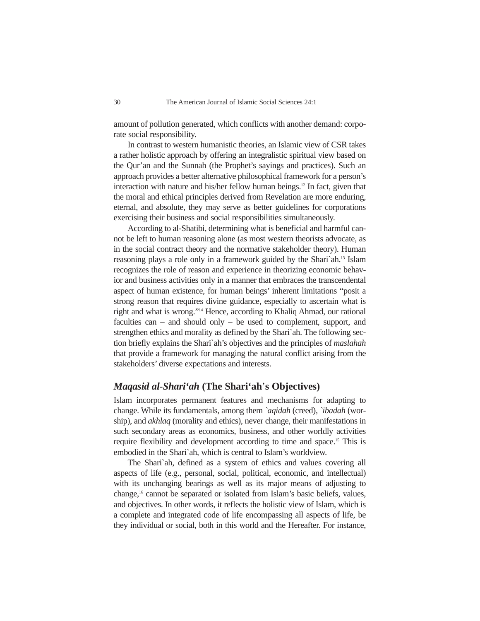amount of pollution generated, which conflicts with another demand: corporate social responsibility.

In contrast to western humanistic theories, an Islamic view of CSR takes a rather holistic approach by offering an integralistic spiritual view based on the Qur'an and the Sunnah (the Prophet's sayings and practices). Such an approach provides a better alternative philosophical framework for a person's interaction with nature and his/her fellow human beings.12 In fact, given that the moral and ethical principles derived from Revelation are more enduring, eternal, and absolute, they may serve as better guidelines for corporations exercising their business and social responsibilities simultaneously.

According to al-Shatibi, determining what is beneficial and harmful cannot be left to human reasoning alone (as most western theorists advocate, as in the social contract theory and the normative stakeholder theory). Human reasoning plays a role only in a framework guided by the Shari`ah.13 Islam recognizes the role of reason and experience in theorizing economic behavior and business activities only in a manner that embraces the transcendental aspect of human existence, for human beings' inherent limitations "posit a strong reason that requires divine guidance, especially to ascertain what is right and what is wrong."14 Hence, according to Khaliq Ahmad, our rational faculties can – and should only – be used to complement, support, and strengthen ethics and morality as defined by the Shari`ah. The following section briefly explains the Shari`ah's objectives and the principles of *maslahah* that provide a framework for managing the natural conflict arising from the stakeholders' diverse expectations and interests.

#### *Maqasid al-Shari'ah* **(The Shari'ah**'**s Objectives)**

Islam incorporates permanent features and mechanisms for adapting to change. While its fundamentals, among them *`aqidah* (creed), *`ibadah* (worship), and *akhlaq* (morality and ethics), never change, their manifestations in such secondary areas as economics, business, and other worldly activities require flexibility and development according to time and space.15 This is embodied in the Shari`ah, which is central to Islam's worldview.

The Shari`ah, defined as a system of ethics and values covering all aspects of life (e.g., personal, social, political, economic, and intellectual) with its unchanging bearings as well as its major means of adjusting to change,16 cannot be separated or isolated from Islam's basic beliefs, values, and objectives. In other words, it reflects the holistic view of Islam, which is a complete and integrated code of life encompassing all aspects of life, be they individual or social, both in this world and the Hereafter. For instance,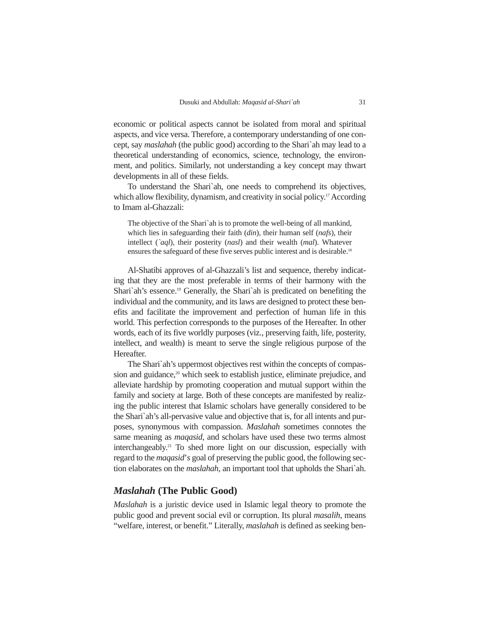economic or political aspects cannot be isolated from moral and spiritual aspects, and vice versa. Therefore, a contemporary understanding of one concept, say *maslahah* (the public good) according to the Shari`ah may lead to a theoretical understanding of economics, science, technology, the environment, and politics. Similarly, not understanding a key concept may thwart developments in all of these fields.

To understand the Shari`ah, one needs to comprehend its objectives, which allow flexibility, dynamism, and creativity in social policy.<sup>17</sup> According to Imam al-Ghazzali:

The objective of the Shari`ah is to promote the well-being of all mankind, which lies in safeguarding their faith (*din*), their human self (*nafs*), their intellect (*`aql*), their posterity (*nasl*) and their wealth (*mal*). Whatever ensures the safeguard of these five serves public interest and is desirable.<sup>18</sup>

Al-Shatibi approves of al-Ghazzali's list and sequence, thereby indicating that they are the most preferable in terms of their harmony with the Shari`ah's essence.19 Generally, the Shari`ah is predicated on benefiting the individual and the community, and its laws are designed to protect these benefits and facilitate the improvement and perfection of human life in this world. This perfection corresponds to the purposes of the Hereafter. In other words, each of its five worldly purposes (viz., preserving faith, life, posterity, intellect, and wealth) is meant to serve the single religious purpose of the Hereafter.

The Shari`ah's uppermost objectives rest within the concepts of compassion and guidance,<sup>20</sup> which seek to establish justice, eliminate prejudice, and alleviate hardship by promoting cooperation and mutual support within the family and society at large. Both of these concepts are manifested by realizing the public interest that Islamic scholars have generally considered to be the Shari`ah's all-pervasive value and objective that is, for all intents and purposes, synonymous with compassion. *Maslahah* sometimes connotes the same meaning as *maqasid*, and scholars have used these two terms almost interchangeably.21 To shed more light on our discussion, especially with regard to the *maqasid*'*s* goal of preserving the public good, the following section elaborates on the *maslahah*, an important tool that upholds the Shari`ah.

## *Maslahah* **(The Public Good)**

*Maslahah* is a juristic device used in Islamic legal theory to promote the public good and prevent social evil or corruption. Its plural *masalih*, means "welfare, interest, or benefit." Literally, *maslahah* is defined as seeking ben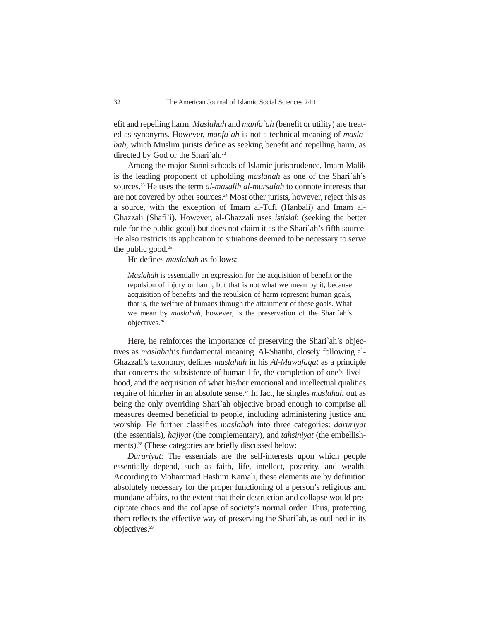efit and repelling harm. *Maslahah* and *manfa`ah* (benefit or utility) are treated as synonyms. However, *manfa`ah* is not a technical meaning of *maslahah*, which Muslim jurists define as seeking benefit and repelling harm, as directed by God or the Shari`ah.<sup>22</sup>

Among the major Sunni schools of Islamic jurisprudence, Imam Malik is the leading proponent of upholding *maslahah* as one of the Shari`ah's sources.23 He uses the term *al-masalih al-mursalah* to connote interests that are not covered by other sources.<sup>24</sup> Most other jurists, however, reject this as a source, with the exception of Imam al-Tufi (Hanbali) and Imam al-Ghazzali (Shafi`i). However, al-Ghazzali uses *istislah* (seeking the better rule for the public good) but does not claim it as the Shari`ah's fifth source. He also restricts its application to situations deemed to be necessary to serve the public good. $25$ 

He defines *maslahah* as follows:

*Maslahah* is essentially an expression for the acquisition of benefit or the repulsion of injury or harm, but that is not what we mean by it, because acquisition of benefits and the repulsion of harm represent human goals, that is, the welfare of humans through the attainment of these goals. What we mean by *maslahah*, however, is the preservation of the Shari`ah's objectives.26

Here, he reinforces the importance of preserving the Shari`ah's objectives as *maslahah*'*s* fundamental meaning. Al-Shatibi, closely following al-Ghazzali's taxonomy, defines *maslahah* in his *Al-Muwafaqat* as a principle that concerns the subsistence of human life, the completion of one's livelihood, and the acquisition of what his/her emotional and intellectual qualities require of him/her in an absolute sense.<sup>27</sup> In fact, he singles *maslahah* out as being the only overriding Shari`ah objective broad enough to comprise all measures deemed beneficial to people, including administering justice and worship. He further classifies *maslahah* into three categories: *daruriyat* (the essentials), *hajiyat* (the complementary), and *tahsiniyat* (the embellishments).<sup>28</sup> (These categories are briefly discussed below:

*Daruriyat*: The essentials are the self-interests upon which people essentially depend, such as faith, life, intellect, posterity, and wealth. According to Mohammad Hashim Kamali, these elements are by definition absolutely necessary for the proper functioning of a person's religious and mundane affairs, to the extent that their destruction and collapse would precipitate chaos and the collapse of society's normal order. Thus, protecting them reflects the effective way of preserving the Shari`ah, as outlined in its objectives.29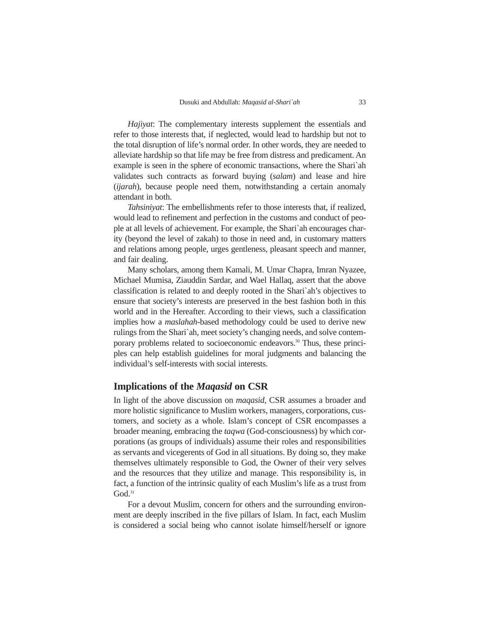*Hajiyat*: The complementary interests supplement the essentials and refer to those interests that, if neglected, would lead to hardship but not to the total disruption of life's normal order. In other words, they are needed to alleviate hardship so that life may be free from distress and predicament. An example is seen in the sphere of economic transactions, where the Shari`ah validates such contracts as forward buying (*salam*) and lease and hire (*ijarah*), because people need them, notwithstanding a certain anomaly attendant in both.

*Tahsiniyat*: The embellishments refer to those interests that, if realized, would lead to refinement and perfection in the customs and conduct of people at all levels of achievement. For example, the Shari`ah encourages charity (beyond the level of zakah) to those in need and, in customary matters and relations among people, urges gentleness, pleasant speech and manner, and fair dealing.

Many scholars, among them Kamali, M. Umar Chapra, Imran Nyazee, Michael Mumisa, Ziauddin Sardar, and Wael Hallaq, assert that the above classification is related to and deeply rooted in the Shari`ah's objectives to ensure that society's interests are preserved in the best fashion both in this world and in the Hereafter. According to their views, such a classification implies how a *maslahah*-based methodology could be used to derive new rulings from the Shari`ah, meet society's changing needs, and solve contemporary problems related to socioeconomic endeavors.<sup>30</sup> Thus, these principles can help establish guidelines for moral judgments and balancing the individual's self-interests with social interests.

#### **Implications of the** *Maqasid* **on CSR**

In light of the above discussion on *maqasid*, CSR assumes a broader and more holistic significance to Muslim workers, managers, corporations, customers, and society as a whole. Islam's concept of CSR encompasses a broader meaning, embracing the *taqwa* (God-consciousness) by which corporations (as groups of individuals) assume their roles and responsibilities as servants and vicegerents of God in all situations. By doing so, they make themselves ultimately responsible to God, the Owner of their very selves and the resources that they utilize and manage. This responsibility is, in fact, a function of the intrinsic quality of each Muslim's life as a trust from God.<sup>31</sup>

For a devout Muslim, concern for others and the surrounding environment are deeply inscribed in the five pillars of Islam. In fact, each Muslim is considered a social being who cannot isolate himself/herself or ignore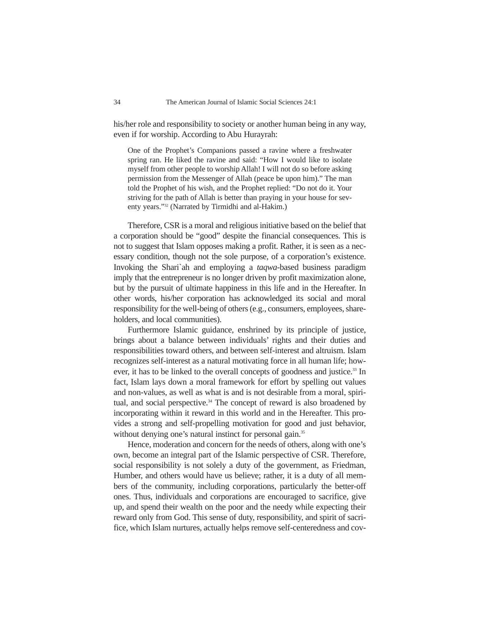his/her role and responsibility to society or another human being in any way, even if for worship. According to Abu Hurayrah:

One of the Prophet's Companions passed a ravine where a freshwater spring ran. He liked the ravine and said: "How I would like to isolate myself from other people to worship Allah! I will not do so before asking permission from the Messenger of Allah (peace be upon him)." The man told the Prophet of his wish, and the Prophet replied: "Do not do it. Your striving for the path of Allah is better than praying in your house for seventy years."32 (Narrated by Tirmidhi and al-Hakim.)

Therefore, CSR is a moral and religious initiative based on the belief that a corporation should be "good" despite the financial consequences. This is not to suggest that Islam opposes making a profit. Rather, it is seen as a necessary condition, though not the sole purpose, of a corporation's existence. Invoking the Shari`ah and employing a *taqwa*-based business paradigm imply that the entrepreneur is no longer driven by profit maximization alone, but by the pursuit of ultimate happiness in this life and in the Hereafter. In other words, his/her corporation has acknowledged its social and moral responsibility for the well-being of others (e.g., consumers, employees, shareholders, and local communities).

Furthermore Islamic guidance, enshrined by its principle of justice, brings about a balance between individuals' rights and their duties and responsibilities toward others, and between self-interest and altruism. Islam recognizes self-interest as a natural motivating force in all human life; however, it has to be linked to the overall concepts of goodness and justice.<sup>33</sup> In fact, Islam lays down a moral framework for effort by spelling out values and non-values, as well as what is and is not desirable from a moral, spiritual, and social perspective.<sup>34</sup> The concept of reward is also broadened by incorporating within it reward in this world and in the Hereafter. This provides a strong and self-propelling motivation for good and just behavior, without denying one's natural instinct for personal gain.<sup>35</sup>

Hence, moderation and concern for the needs of others, along with one's own, become an integral part of the Islamic perspective of CSR. Therefore, social responsibility is not solely a duty of the government, as Friedman, Humber, and others would have us believe; rather, it is a duty of all members of the community, including corporations, particularly the better-off ones. Thus, individuals and corporations are encouraged to sacrifice, give up, and spend their wealth on the poor and the needy while expecting their reward only from God. This sense of duty, responsibility, and spirit of sacrifice, which Islam nurtures, actually helps remove self-centeredness and cov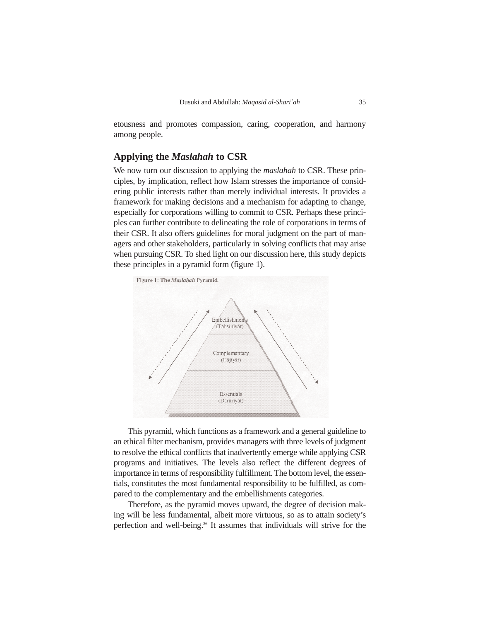etousness and promotes compassion, caring, cooperation, and harmony among people.

# **Applying the** *Maslahah* **to CSR**

We now turn our discussion to applying the *maslahah* to CSR. These principles, by implication, reflect how Islam stresses the importance of considering public interests rather than merely individual interests. It provides a framework for making decisions and a mechanism for adapting to change, especially for corporations willing to commit to CSR. Perhaps these principles can further contribute to delineating the role of corporations in terms of their CSR. It also offers guidelines for moral judgment on the part of managers and other stakeholders, particularly in solving conflicts that may arise when pursuing CSR. To shed light on our discussion here, this study depicts these principles in a pyramid form (figure 1).



This pyramid, which functions as a framework and a general guideline to an ethical filter mechanism, provides managers with three levels of judgment to resolve the ethical conflicts that inadvertently emerge while applying CSR programs and initiatives. The levels also reflect the different degrees of importance in terms of responsibility fulfillment. The bottom level, the essentials, constitutes the most fundamental responsibility to be fulfilled, as compared to the complementary and the embellishments categories.

Therefore, as the pyramid moves upward, the degree of decision making will be less fundamental, albeit more virtuous, so as to attain society's perfection and well-being.<sup>36</sup> It assumes that individuals will strive for the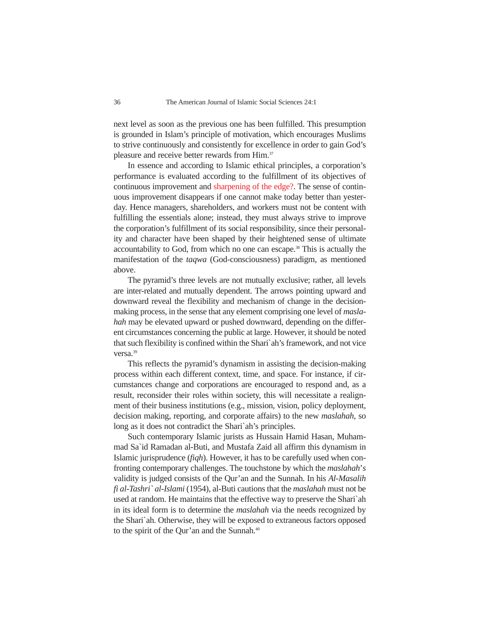next level as soon as the previous one has been fulfilled. This presumption is grounded in Islam's principle of motivation, which encourages Muslims to strive continuously and consistently for excellence in order to gain God's pleasure and receive better rewards from Him.<sup>37</sup>

In essence and according to Islamic ethical principles, a corporation's performance is evaluated according to the fulfillment of its objectives of continuous improvement and sharpening of the edge?. The sense of continuous improvement disappears if one cannot make today better than yesterday. Hence managers, shareholders, and workers must not be content with fulfilling the essentials alone; instead, they must always strive to improve the corporation's fulfillment of its social responsibility, since their personality and character have been shaped by their heightened sense of ultimate accountability to God, from which no one can escape.<sup>38</sup> This is actually the manifestation of the *taqwa* (God-consciousness) paradigm, as mentioned above.

The pyramid's three levels are not mutually exclusive; rather, all levels are inter-related and mutually dependent. The arrows pointing upward and downward reveal the flexibility and mechanism of change in the decisionmaking process, in the sense that any element comprising one level of *maslahah* may be elevated upward or pushed downward, depending on the different circumstances concerning the public at large. However, it should be noted that such flexibility is confined within the Shari`ah's framework, and not vice versa.<sup>39</sup>

This reflects the pyramid's dynamism in assisting the decision-making process within each different context, time, and space. For instance, if circumstances change and corporations are encouraged to respond and, as a result, reconsider their roles within society, this will necessitate a realignment of their business institutions (e.g., mission, vision, policy deployment, decision making, reporting, and corporate affairs) to the new *maslahah*, so long as it does not contradict the Shari`ah's principles.

Such contemporary Islamic jurists as Hussain Hamid Hasan, Muhammad Sa`id Ramadan al-Buti, and Mustafa Zaid all affirm this dynamism in Islamic jurisprudence (*fiqh*). However, it has to be carefully used when confronting contemporary challenges. The touchstone by which the *maslahah*'*s* validity is judged consists of the Qur'an and the Sunnah. In his *Al-Masalih fi al-Tashri` al-Islami* (1954), al-Buti cautions that the *maslahah* must not be used at random. He maintains that the effective way to preserve the Shari`ah in its ideal form is to determine the *maslahah* via the needs recognized by the Shari`ah. Otherwise, they will be exposed to extraneous factors opposed to the spirit of the Qur'an and the Sunnah.<sup>40</sup>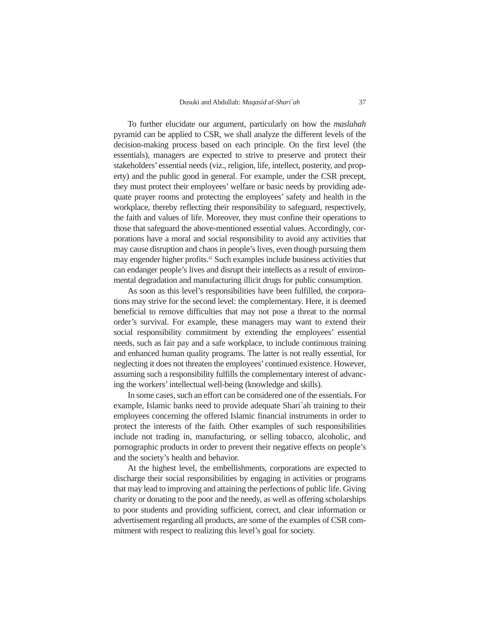To further elucidate our argument, particularly on how the *maslahah* pyramid can be applied to CSR, we shall analyze the different levels of the decision-making process based on each principle. On the first level (the essentials), managers are expected to strive to preserve and protect their stakeholders' essential needs (viz., religion, life, intellect, posterity, and property) and the public good in general. For example, under the CSR precept, they must protect their employees' welfare or basic needs by providing adequate prayer rooms and protecting the employees' safety and health in the workplace, thereby reflecting their responsibility to safeguard, respectively, the faith and values of life. Moreover, they must confine their operations to those that safeguard the above-mentioned essential values. Accordingly, corporations have a moral and social responsibility to avoid any activities that may cause disruption and chaos in people's lives, even though pursuing them may engender higher profits.<sup>41</sup> Such examples include business activities that can endanger people's lives and disrupt their intellects as a result of environmental degradation and manufacturing illicit drugs for public consumption.

As soon as this level's responsibilities have been fulfilled, the corporations may strive for the second level: the complementary. Here, it is deemed beneficial to remove difficulties that may not pose a threat to the normal order's survival. For example, these managers may want to extend their social responsibility commitment by extending the employees' essential needs, such as fair pay and a safe workplace, to include continuous training and enhanced human quality programs. The latter is not really essential, for neglecting it does not threaten the employees' continued existence. However, assuming such a responsibility fulfills the complementary interest of advancing the workers' intellectual well-being (knowledge and skills).

In some cases, such an effort can be considered one of the essentials. For example, Islamic banks need to provide adequate Shari`ah training to their employees concerning the offered Islamic financial instruments in order to protect the interests of the faith. Other examples of such responsibilities include not trading in, manufacturing, or selling tobacco, alcoholic, and pornographic products in order to prevent their negative effects on people's and the society's health and behavior.

At the highest level, the embellishments, corporations are expected to discharge their social responsibilities by engaging in activities or programs that may lead to improving and attaining the perfections of public life. Giving charity or donating to the poor and the needy, as well as offering scholarships to poor students and providing sufficient, correct, and clear information or advertisement regarding all products, are some of the examples of CSR commitment with respect to realizing this level's goal for society.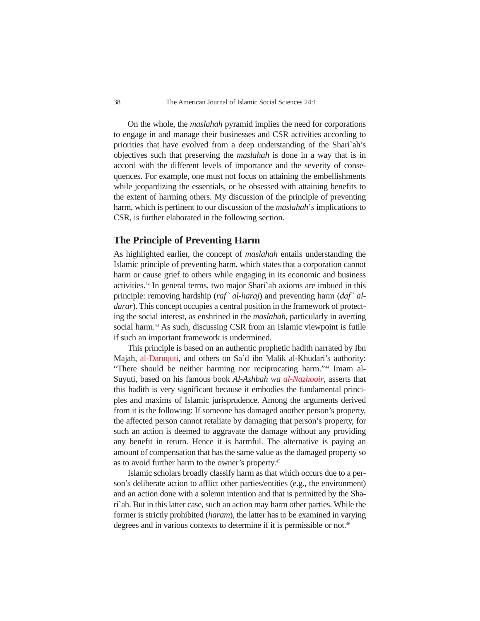On the whole, the *maslahah* pyramid implies the need for corporations to engage in and manage their businesses and CSR activities according to priorities that have evolved from a deep understanding of the Shari`ah's objectives such that preserving the *maslahah* is done in a way that is in accord with the different levels of importance and the severity of consequences. For example, one must not focus on attaining the embellishments while jeopardizing the essentials, or be obsessed with attaining benefits to the extent of harming others. My discussion of the principle of preventing harm, which is pertinent to our discussion of the *maslahah*'*s* implications to CSR, is further elaborated in the following section.

#### **The Principle of Preventing Harm**

As highlighted earlier, the concept of *maslahah* entails understanding the Islamic principle of preventing harm, which states that a corporation cannot harm or cause grief to others while engaging in its economic and business activities.42 In general terms, two major Shari`ah axioms are imbued in this principle: removing hardship (*raf` al-haraj*) and preventing harm (*daf` aldarar*). This concept occupies a central position in the framework of protecting the social interest, as enshrined in the *maslahah*, particularly in averting social harm.<sup>43</sup> As such, discussing CSR from an Islamic viewpoint is futile if such an important framework is undermined.

This principle is based on an authentic prophetic hadith narrated by Ibn Majah, al-Daruquti, and others on Sa`d ibn Malik al-Khudari's authority: "There should be neither harming nor reciprocating harm."44 Imam al-Suyuti, based on his famous book *Al-Ashbah wa al-Nazhooir*, asserts that this hadith is very significant because it embodies the fundamental principles and maxims of Islamic jurisprudence. Among the arguments derived from it is the following: If someone has damaged another person's property, the affected person cannot retaliate by damaging that person's property, for such an action is deemed to aggravate the damage without any providing any benefit in return. Hence it is harmful. The alternative is paying an amount of compensation that has the same value as the damaged property so as to avoid further harm to the owner's property.45

Islamic scholars broadly classify harm as that which occurs due to a person's deliberate action to afflict other parties/entities (e.g., the environment) and an action done with a solemn intention and that is permitted by the Shari`ah. But in this latter case, such an action may harm other parties. While the former is strictly prohibited (*haram*), the latter has to be examined in varying degrees and in various contexts to determine if it is permissible or not.<sup>46</sup>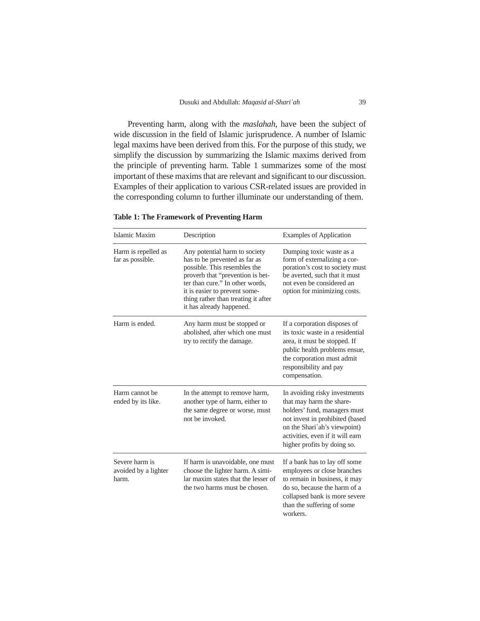Preventing harm, along with the *maslahah*, have been the subject of wide discussion in the field of Islamic jurisprudence. A number of Islamic legal maxims have been derived from this. For the purpose of this study, we simplify the discussion by summarizing the Islamic maxims derived from the principle of preventing harm. Table 1 summarizes some of the most important of these maxims that are relevant and significant to our discussion. Examples of their application to various CSR-related issues are provided in the corresponding column to further illuminate our understanding of them.

| Islamic Maxim                                   | Description                                                                                                                                                                                                                                                               | <b>Examples of Application</b>                                                                                                                                                                                                  |
|-------------------------------------------------|---------------------------------------------------------------------------------------------------------------------------------------------------------------------------------------------------------------------------------------------------------------------------|---------------------------------------------------------------------------------------------------------------------------------------------------------------------------------------------------------------------------------|
| Harm is repelled as<br>far as possible.         | Any potential harm to society<br>has to be prevented as far as<br>possible. This resembles the<br>proverb that "prevention is bet-<br>ter than cure." In other words,<br>it is easier to prevent some-<br>thing rather than treating it after<br>it has already happened. | Dumping toxic waste as a<br>form of externalizing a cor-<br>poration's cost to society must<br>be averted, such that it must<br>not even be considered an<br>option for minimizing costs.                                       |
| Harm is ended.                                  | Any harm must be stopped or<br>abolished, after which one must<br>try to rectify the damage.                                                                                                                                                                              | If a corporation disposes of<br>its toxic waste in a residential<br>area, it must be stopped. If<br>public health problems ensue,<br>the corporation must admit<br>responsibility and pay<br>compensation.                      |
| Harm cannot be<br>ended by its like.            | In the attempt to remove harm,<br>another type of harm, either to<br>the same degree or worse, must<br>not be invoked.                                                                                                                                                    | In avoiding risky investments<br>that may harm the share-<br>holders' fund, managers must<br>not invest in prohibited (based<br>on the Shari'ah's viewpoint)<br>activities, even if it will earn<br>higher profits by doing so. |
| Severe harm is<br>avoided by a lighter<br>harm. | If harm is unavoidable, one must<br>choose the lighter harm. A simi-<br>lar maxim states that the lesser of<br>the two harms must be chosen.                                                                                                                              | If a bank has to lay off some<br>employees or close branches<br>to remain in business, it may<br>do so, because the harm of a<br>collapsed bank is more severe<br>than the suffering of some<br>workers.                        |

**Table 1: The Framework of Preventing Harm**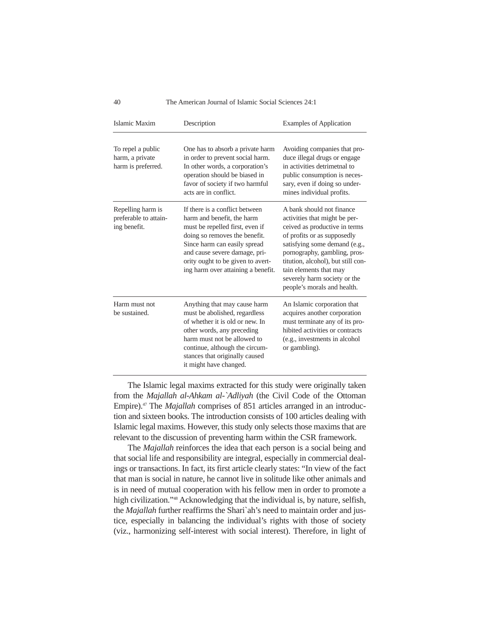#### 40 The American Journal of Islamic Social Sciences 24:1

| Islamic Maxim                                              | Description                                                                                                                                                                                                                                                                  | <b>Examples of Application</b>                                                                                                                                                                                                                                                                                             |
|------------------------------------------------------------|------------------------------------------------------------------------------------------------------------------------------------------------------------------------------------------------------------------------------------------------------------------------------|----------------------------------------------------------------------------------------------------------------------------------------------------------------------------------------------------------------------------------------------------------------------------------------------------------------------------|
| To repel a public<br>harm, a private<br>harm is preferred. | One has to absorb a private harm<br>in order to prevent social harm.<br>In other words, a corporation's<br>operation should be biased in<br>favor of society if two harmful<br>acts are in conflict.                                                                         | Avoiding companies that pro-<br>duce illegal drugs or engage<br>in activities detrimetnal to<br>public consumption is neces-<br>sary, even if doing so under-<br>mines individual profits.                                                                                                                                 |
| Repelling harm is<br>preferable to attain-<br>ing benefit. | If there is a conflict between<br>harm and benefit, the harm<br>must be repelled first, even if<br>doing so removes the benefit.<br>Since harm can easily spread<br>and cause severe damage, pri-<br>ority ought to be given to avert-<br>ing harm over attaining a benefit. | A bank should not finance<br>activities that might be per-<br>ceived as productive in terms<br>of profits or as supposedly<br>satisfying some demand (e.g.,<br>pornography, gambling, pros-<br>titution, alcohol), but still con-<br>tain elements that may<br>severely harm society or the<br>people's morals and health. |
| Harm must not<br>be sustained.                             | Anything that may cause harm<br>must be abolished, regardless<br>of whether it is old or new. In<br>other words, any preceding<br>harm must not be allowed to<br>continue, although the circum-<br>stances that originally caused<br>it might have changed.                  | An Islamic corporation that<br>acquires another corporation<br>must terminate any of its pro-<br>hibited activities or contracts<br>(e.g., investments in alcohol<br>or gambling).                                                                                                                                         |

The Islamic legal maxims extracted for this study were originally taken from the *Majallah al-Ahkam al-`Adliyah* (the Civil Code of the Ottoman Empire).47 The *Majallah* comprises of 851 articles arranged in an introduction and sixteen books. The introduction consists of 100 articles dealing with Islamic legal maxims. However, this study only selects those maxims that are relevant to the discussion of preventing harm within the CSR framework.

The *Majallah* reinforces the idea that each person is a social being and that social life and responsibility are integral, especially in commercial dealings or transactions. In fact, its first article clearly states: "In view of the fact that man is social in nature, he cannot live in solitude like other animals and is in need of mutual cooperation with his fellow men in order to promote a high civilization."48 Acknowledging that the individual is, by nature, selfish, the *Majallah* further reaffirms the Shari`ah's need to maintain order and justice, especially in balancing the individual's rights with those of society (viz., harmonizing self-interest with social interest). Therefore, in light of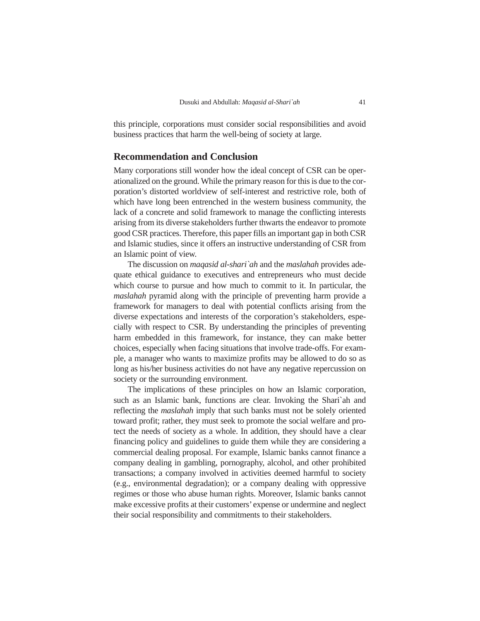this principle, corporations must consider social responsibilities and avoid business practices that harm the well-being of society at large.

# **Recommendation and Conclusion**

Many corporations still wonder how the ideal concept of CSR can be operationalized on the ground. While the primary reason for this is due to the corporation's distorted worldview of self-interest and restrictive role, both of which have long been entrenched in the western business community, the lack of a concrete and solid framework to manage the conflicting interests arising from its diverse stakeholders further thwarts the endeavor to promote good CSR practices. Therefore, this paper fills an important gap in both CSR and Islamic studies, since it offers an instructive understanding of CSR from an Islamic point of view.

The discussion on *maqasid al-shari`ah* and the *maslahah* provides adequate ethical guidance to executives and entrepreneurs who must decide which course to pursue and how much to commit to it. In particular, the *maslahah* pyramid along with the principle of preventing harm provide a framework for managers to deal with potential conflicts arising from the diverse expectations and interests of the corporation's stakeholders, especially with respect to CSR. By understanding the principles of preventing harm embedded in this framework, for instance, they can make better choices, especially when facing situations that involve trade-offs. For example, a manager who wants to maximize profits may be allowed to do so as long as his/her business activities do not have any negative repercussion on society or the surrounding environment.

The implications of these principles on how an Islamic corporation, such as an Islamic bank, functions are clear. Invoking the Shari`ah and reflecting the *maslahah* imply that such banks must not be solely oriented toward profit; rather, they must seek to promote the social welfare and protect the needs of society as a whole. In addition, they should have a clear financing policy and guidelines to guide them while they are considering a commercial dealing proposal. For example, Islamic banks cannot finance a company dealing in gambling, pornography, alcohol, and other prohibited transactions; a company involved in activities deemed harmful to society (e.g., environmental degradation); or a company dealing with oppressive regimes or those who abuse human rights. Moreover, Islamic banks cannot make excessive profits at their customers'expense or undermine and neglect their social responsibility and commitments to their stakeholders.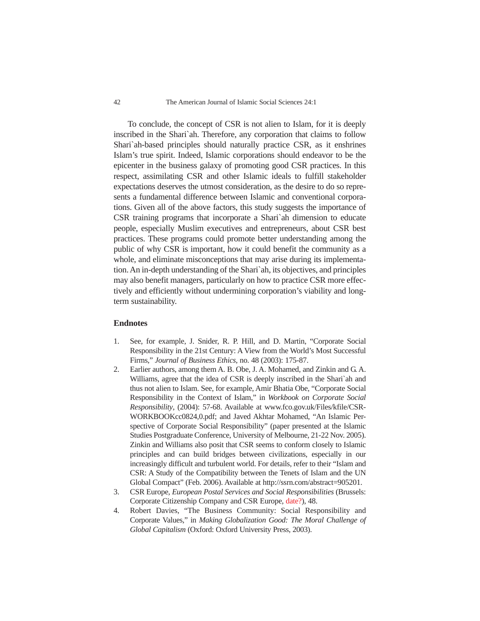To conclude, the concept of CSR is not alien to Islam, for it is deeply inscribed in the Shari`ah. Therefore, any corporation that claims to follow Shari`ah-based principles should naturally practice CSR, as it enshrines Islam's true spirit. Indeed, Islamic corporations should endeavor to be the epicenter in the business galaxy of promoting good CSR practices. In this respect, assimilating CSR and other Islamic ideals to fulfill stakeholder expectations deserves the utmost consideration, as the desire to do so represents a fundamental difference between Islamic and conventional corporations. Given all of the above factors, this study suggests the importance of CSR training programs that incorporate a Shari`ah dimension to educate people, especially Muslim executives and entrepreneurs, about CSR best practices. These programs could promote better understanding among the public of why CSR is important, how it could benefit the community as a whole, and eliminate misconceptions that may arise during its implementation. An in-depth understanding of the Shari`ah, its objectives, and principles may also benefit managers, particularly on how to practice CSR more effectively and efficiently without undermining corporation's viability and longterm sustainability.

#### **Endnotes**

- 1. See, for example, J. Snider, R. P. Hill, and D. Martin, "Corporate Social Responsibility in the 21st Century: A View from the World's Most Successful Firms," *Journal of Business Ethics*, no. 48 (2003): 175-87.
- 2. Earlier authors, among them A. B. Obe, J. A. Mohamed, and Zinkin and G. A. Williams, agree that the idea of CSR is deeply inscribed in the Shari`ah and thus not alien to Islam. See, for example, Amir Bhatia Obe, "Corporate Social Responsibility in the Context of Islam," in *Workbook on Corporate Social Responsibility*, (2004): 57-68. Available at www.fco.gov.uk/Files/kfile/CSR-WORKBOOKcc0824,0.pdf; and Javed Akhtar Mohamed, "An Islamic Perspective of Corporate Social Responsibility" (paper presented at the Islamic Studies Postgraduate Conference, University of Melbourne, 21-22 Nov. 2005). Zinkin and Williams also posit that CSR seems to conform closely to Islamic principles and can build bridges between civilizations, especially in our increasingly difficult and turbulent world. For details, refer to their "Islam and CSR: A Study of the Compatibility between the Tenets of Islam and the UN Global Compact" (Feb. 2006). Available at http://ssrn.com/abstract=905201.
- 3. CSR Europe, *European Postal Services and Social Responsibilities* (Brussels: Corporate Citizenship Company and CSR Europe, date?), 48.
- 4. Robert Davies, "The Business Community: Social Responsibility and Corporate Values," in *Making Globalization Good: The Moral Challenge of Global Capitalism* (Oxford: Oxford University Press, 2003).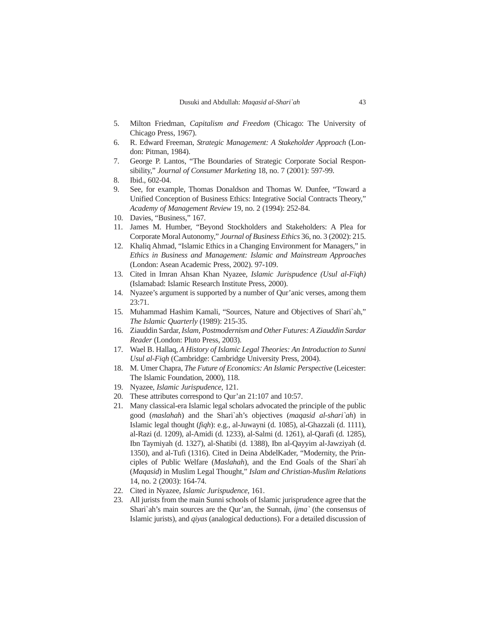- 5. Milton Friedman, *Capitalism and Freedom* (Chicago: The University of Chicago Press, 1967).
- 6. R. Edward Freeman, *Strategic Management: A Stakeholder Approach* (London: Pitman, 1984).
- 7. George P. Lantos, "The Boundaries of Strategic Corporate Social Responsibility," *Journal of Consumer Marketing* 18, no. 7 (2001): 597-99.
- 8. Ibid., 602-04.
- 9. See, for example, Thomas Donaldson and Thomas W. Dunfee, "Toward a Unified Conception of Business Ethics: Integrative Social Contracts Theory," *Academy of Management Review* 19, no. 2 (1994): 252-84.
- 10. Davies, "Business," 167.
- 11. James M. Humber, "Beyond Stockholders and Stakeholders: A Plea for Corporate Moral Autonomy," *Journal of Business Ethics* 36, no. 3 (2002): 215.
- 12. Khaliq Ahmad, "Islamic Ethics in a Changing Environment for Managers," in *Ethics in Business and Management: Islamic and Mainstream Approaches* (London: Asean Academic Press, 2002). 97-109.
- 13. Cited in Imran Ahsan Khan Nyazee, *Islamic Jurispudence (Usul al-Fiqh)* (Islamabad: Islamic Research Institute Press, 2000).
- 14. Nyazee's argument is supported by a number of Qur'anic verses, among them 23:71.
- 15. Muhammad Hashim Kamali, "Sources, Nature and Objectives of Shari`ah," *The Islamic Quarterly* (1989): 215-35.
- 16. Ziauddin Sardar, *Islam, Postmodernism and Other Futures: A Ziauddin Sardar Reader* (London: Pluto Press, 2003).
- 17. Wael B. Hallaq, *A History of Islamic Legal Theories: An Introduction to Sunni Usul al-Fiqh* (Cambridge: Cambridge University Press, 2004).
- 18. M. Umer Chapra, *The Future of Economics: An Islamic Perspective* (Leicester: The Islamic Foundation, 2000), 118.
- 19. Nyazee, *Islamic Jurispudence*, 121.
- 20. These attributes correspond to Qur'an 21:107 and 10:57.
- 21. Many classical-era Islamic legal scholars advocated the principle of the public good (*maslahah*) and the Shari`ah's objectives (*maqasid al-shari`ah*) in Islamic legal thought (*fiqh*): e.g., al-Juwayni (d. 1085), al-Ghazzali (d. 1111), al-Razi (d. 1209), al-Amidi (d. 1233), al-Salmi (d. 1261), al-Qarafi (d. 1285), Ibn Taymiyah (d. 1327), al-Shatibi (d. 1388), Ibn al-Qayyim al-Jawziyah (d. 1350), and al-Tufi (1316). Cited in Deina AbdelKader, "Modernity, the Principles of Public Welfare (*Maslahah*), and the End Goals of the Shari`ah (*Maqasid*) in Muslim Legal Thought," *Islam and Christian-Muslim Relations* 14, no. 2 (2003): 164-74.
- 22. Cited in Nyazee, *Islamic Jurispudence*, 161.
- 23. All jurists from the main Sunni schools of Islamic jurisprudence agree that the Shari`ah's main sources are the Qur'an, the Sunnah, *ijma`* (the consensus of Islamic jurists), and *qiyas* (analogical deductions). For a detailed discussion of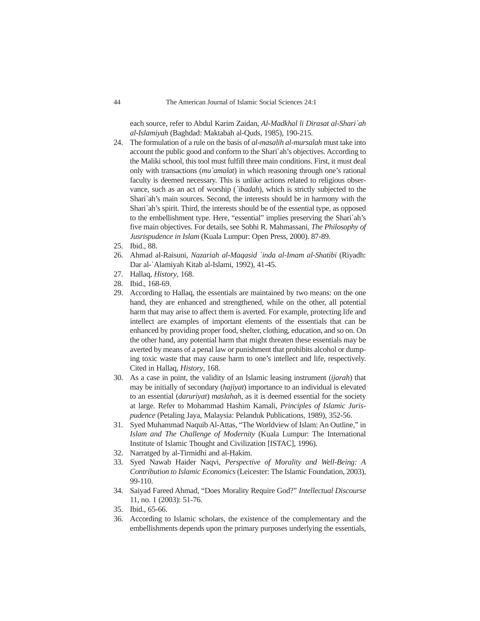each source, refer to Abdul Karim Zaidan, *Al-Madkhal li Dirasat al-Shari`ah al-Islamiyah* (Baghdad: Maktabah al-Quds, 1985), 190-215.

- 24. The formulation of a rule on the basis of *al-masalih al-mursalah* must take into account the public good and conform to the Shari`ah's objectives. According to the Maliki school, this tool must fulfill three main conditions. First, it must deal only with transactions (*mu`amalat*) in which reasoning through one's rational faculty is deemed necessary. This is unlike actions related to religious observance, such as an act of worship (*`ibadah*), which is strictly subjected to the Shari`ah's main sources. Second, the interests should be in harmony with the Shari`ah's spirit. Third, the interests should be of the essential type, as opposed to the embellishment type. Here, "essential" implies preserving the Shari`ah's five main objectives. For details, see Sobhi R. Mahmassani, *The Philosophy of Jusrispudence in Islam* (Kuala Lumpur: Open Press, 2000). 87-89.
- 25. Ibid., 88.
- 26. Ahmad al-Raisuni, *Nazariah al-Maqasid `inda al-Imam al-Shatibi* (Riyadh: Dar al-`Alamiyah Kitab al-Islami, 1992), 41-45.
- 27. Hallaq, *History*, 168.
- 28. Ibid., 168-69.
- 29. According to Hallaq, the essentials are maintained by two means: on the one hand, they are enhanced and strengthened, while on the other, all potential harm that may arise to affect them is averted. For example, protecting life and intellect are examples of important elements of the essentials that can be enhanced by providing proper food, shelter, clothing, education, and so on. On the other hand, any potential harm that might threaten these essentials may be averted by means of a penal law or punishment that prohibits alcohol or dumping toxic waste that may cause harm to one's intellect and life, respectively. Cited in Hallaq, *History*, 168.
- 30. As a case in point, the validity of an Islamic leasing instrument (*ijarah*) that may be initially of secondary (*hajiyat*) importance to an individual is elevated to an essential (*daruriyat*) *maslahah,* as it is deemed essential for the society at large. Refer to Mohammad Hashim Kamali, *Principles of Islamic Jurispudence* (Petaling Jaya, Malaysia: Pelanduk Publications, 1989), 352-56.
- 31. Syed Muhammad Naquib Al-Attas, "The Worldview of Islam: An Outline," in *Islam and The Challenge of Modernity* (Kuala Lumpur: The International Institute of Islamic Thought and Civilization [ISTAC], 1996).
- 32. Narratged by al-Tirmidhi and al-Hakim.
- 33. Syed Nawab Haider Naqvi, *Perspective of Morality and Well-Being: A Contribution to Islamic Economics* (Leicester: The Islamic Foundation, 2003), 99-110.
- 34. Saiyad Fareed Ahmad, "Does Morality Require God?" *Intellectual Discourse* 11, no. 1 (2003): 51-76.
- 35. Ibid., 65-66.
- 36. According to Islamic scholars, the existence of the complementary and the embellishments depends upon the primary purposes underlying the essentials,